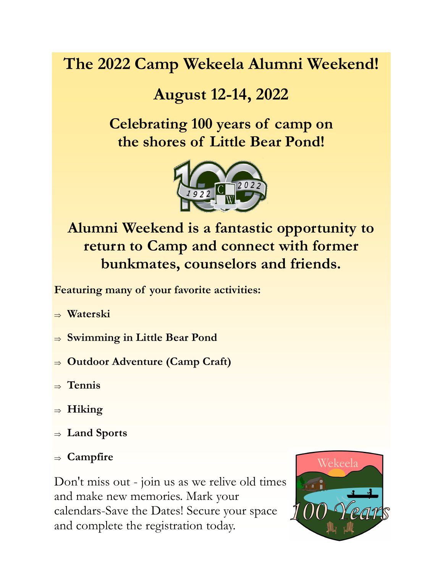# **The 2022 Camp Wekeela Alumni Weekend!**

# **August 12-14, 2022**

## **Celebrating 100 years of camp on the shores of Little Bear Pond!**



**Alumni Weekend is a fantastic opportunity to return to Camp and connect with former bunkmates, counselors and friends.** 

**Featuring many of your favorite activities:**

- **Waterski**
- **Swimming in Little Bear Pond**
- **Outdoor Adventure (Camp Craft)**
- $\Rightarrow$  Tennis
- **Hiking**
- **Land Sports**
- **Campfire**

Don't miss out - join us as we relive old times and make new memories. Mark your calendars-Save the Dates! Secure your space and complete the registration today.

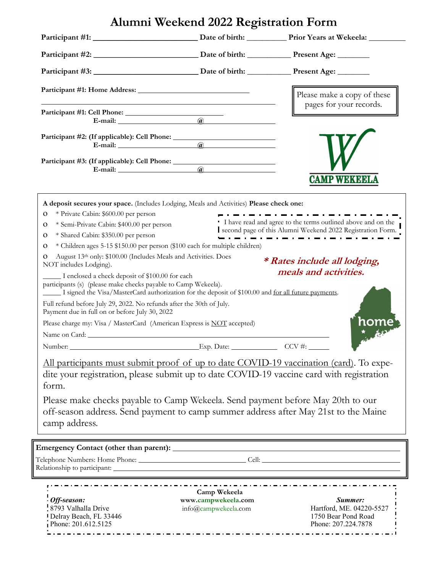|                                                                                                                                                                                                                                                                                                                                                                                                                                                                                                                                                                    | Alumni Weekend 2022 Registration Form                                                                                                                                                                                                                                          |                                                                                                                                                                                                   |
|--------------------------------------------------------------------------------------------------------------------------------------------------------------------------------------------------------------------------------------------------------------------------------------------------------------------------------------------------------------------------------------------------------------------------------------------------------------------------------------------------------------------------------------------------------------------|--------------------------------------------------------------------------------------------------------------------------------------------------------------------------------------------------------------------------------------------------------------------------------|---------------------------------------------------------------------------------------------------------------------------------------------------------------------------------------------------|
|                                                                                                                                                                                                                                                                                                                                                                                                                                                                                                                                                                    |                                                                                                                                                                                                                                                                                |                                                                                                                                                                                                   |
|                                                                                                                                                                                                                                                                                                                                                                                                                                                                                                                                                                    |                                                                                                                                                                                                                                                                                |                                                                                                                                                                                                   |
|                                                                                                                                                                                                                                                                                                                                                                                                                                                                                                                                                                    |                                                                                                                                                                                                                                                                                |                                                                                                                                                                                                   |
|                                                                                                                                                                                                                                                                                                                                                                                                                                                                                                                                                                    |                                                                                                                                                                                                                                                                                | Please make a copy of these                                                                                                                                                                       |
|                                                                                                                                                                                                                                                                                                                                                                                                                                                                                                                                                                    |                                                                                                                                                                                                                                                                                | pages for your records.                                                                                                                                                                           |
|                                                                                                                                                                                                                                                                                                                                                                                                                                                                                                                                                                    |                                                                                                                                                                                                                                                                                |                                                                                                                                                                                                   |
|                                                                                                                                                                                                                                                                                                                                                                                                                                                                                                                                                                    |                                                                                                                                                                                                                                                                                |                                                                                                                                                                                                   |
|                                                                                                                                                                                                                                                                                                                                                                                                                                                                                                                                                                    |                                                                                                                                                                                                                                                                                | <b>CAMP WEKEELA</b>                                                                                                                                                                               |
| * Private Cabin: \$600.00 per person<br>0<br>* Semi-Private Cabin: \$400.00 per person<br>O<br>* Shared Cabin: \$350.00 per person<br>O<br>0<br>August 13th only: \$100.00 (Includes Meals and Activities. Does<br>NOT includes Lodging).<br>I enclosed a check deposit of \$100.00 for each<br>participants (s) (please make checks payable to Camp Wekeela).<br>Full refund before July 29, 2022. No refunds after the 30th of July.<br>Payment due in full on or before July 30, 2022<br>Please charge my: Visa / MasterCard (American Express is NOT accepted) | A deposit secures your space. (Includes Lodging, Meals and Activities) Please check one:<br>* Children ages 5-15 \$150.00 per person (\$100 each for multiple children)<br>I signed the Visa/MasterCard authorization for the deposit of \$100.00 and for all future payments. | .<br>• I have read and agree to the terms outlined above and on the<br>second page of this Alumni Weekend 2022 Registration Form.<br><i>* Rates include all lodging,</i><br>meals and activities. |
| Number:<br>form.<br>camp address.                                                                                                                                                                                                                                                                                                                                                                                                                                                                                                                                  | Exp. Date: $CCV \#$ :<br>Please make checks payable to Camp Wekeela. Send payment before May 20th to our<br>off-season address. Send payment to camp summer address after May 21st to the Maine                                                                                | All participants must submit proof of up to date COVID-19 vaccination (card). To expe-<br>dite your registration, please submit up to date COVID-19 vaccine card with registration                |
|                                                                                                                                                                                                                                                                                                                                                                                                                                                                                                                                                                    |                                                                                                                                                                                                                                                                                |                                                                                                                                                                                                   |
|                                                                                                                                                                                                                                                                                                                                                                                                                                                                                                                                                                    |                                                                                                                                                                                                                                                                                |                                                                                                                                                                                                   |
| Off-season:<br>8793 Valhalla Drive<br>Delray Beach, FL 33446                                                                                                                                                                                                                                                                                                                                                                                                                                                                                                       | Camp Wekeela<br>www.campwekeela.com<br>info@campwekeela.com                                                                                                                                                                                                                    | Summer:<br>Hartford, ME. 04220-5527<br>1750 Bear Pond Road                                                                                                                                        |

Delray Beach, FL 33446 1750 Bear Pond Road Phone: 201.612.5125 Phone: 207.224.7878 1. . . . . . . .

 $-$ 

ä,  $\overline{\phantom{0}}$  ä,

 $\blacksquare$